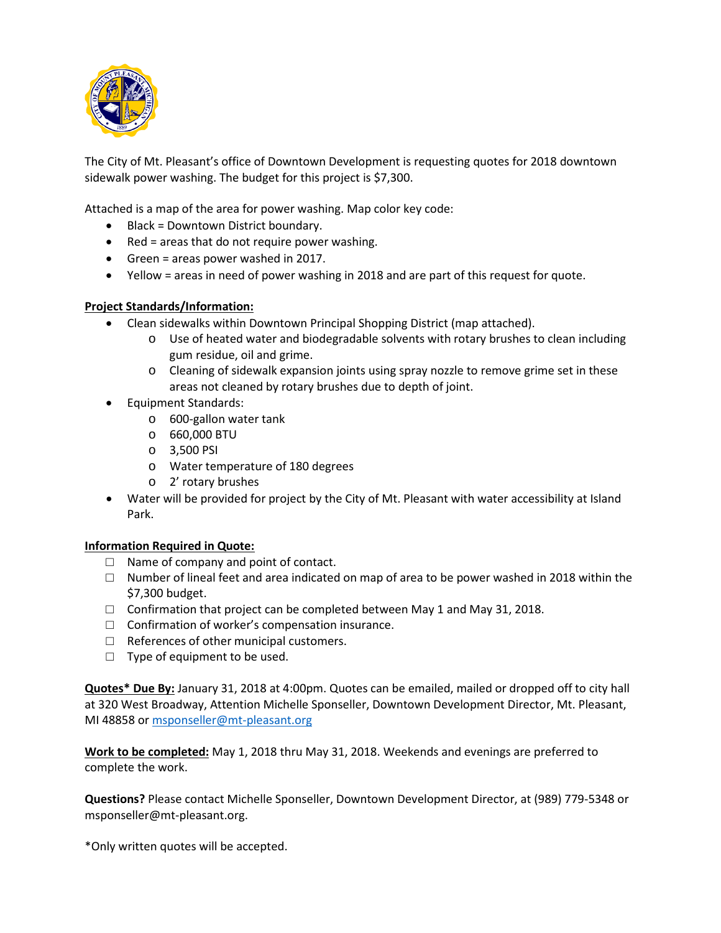

The City of Mt. Pleasant's office of Downtown Development is requesting quotes for 2018 downtown sidewalk power washing. The budget for this project is \$7,300.

Attached is a map of the area for power washing. Map color key code:

- Black = Downtown District boundary.
- Red = areas that do not require power washing.
- Green = areas power washed in 2017.
- Yellow = areas in need of power washing in 2018 and are part of this request for quote.

## **Project Standards/Information:**

- Clean sidewalks within Downtown Principal Shopping District (map attached).
	- o Use of heated water and biodegradable solvents with rotary brushes to clean including gum residue, oil and grime.
	- o Cleaning of sidewalk expansion joints using spray nozzle to remove grime set in these areas not cleaned by rotary brushes due to depth of joint.
- Equipment Standards:
	- o 600-gallon water tank
	- o 660,000 BTU
	- o 3,500 PSI
	- o Water temperature of 180 degrees
	- o 2' rotary brushes
- Water will be provided for project by the City of Mt. Pleasant with water accessibility at Island Park.

## **Information Required in Quote:**

- $\Box$  Name of company and point of contact.
- $\Box$  Number of lineal feet and area indicated on map of area to be power washed in 2018 within the \$7,300 budget.
- $\Box$  Confirmation that project can be completed between May 1 and May 31, 2018.
- $\Box$  Confirmation of worker's compensation insurance.
- $\Box$  References of other municipal customers.
- $\Box$  Type of equipment to be used.

**Quotes\* Due By:** January 31, 2018 at 4:00pm. Quotes can be emailed, mailed or dropped off to city hall at 320 West Broadway, Attention Michelle Sponseller, Downtown Development Director, Mt. Pleasant, MI 48858 or [msponseller@mt-pleasant.org](mailto:msponseller@mt-pleasant.org)

**Work to be completed:** May 1, 2018 thru May 31, 2018. Weekends and evenings are preferred to complete the work.

**Questions?** Please contact Michelle Sponseller, Downtown Development Director, at (989) 779-5348 or msponseller@mt-pleasant.org.

\*Only written quotes will be accepted.